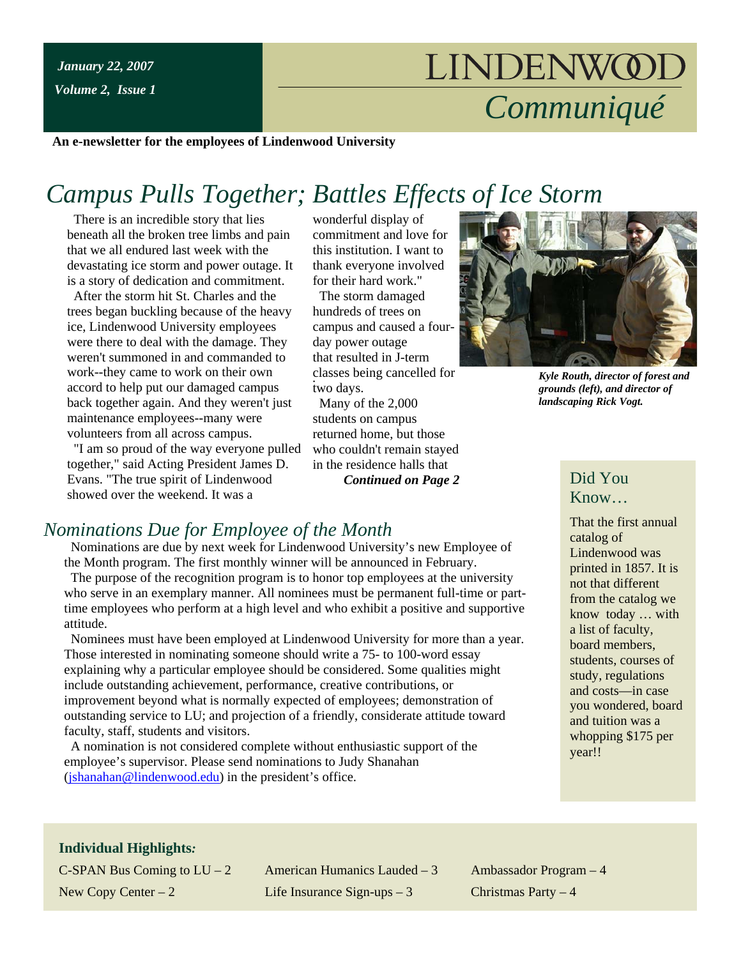# LINDENWOOL *Communiqué*

**An e-newsletter for the employees of Lindenwood University**

## *Campus Pulls Together; Battles Effects of Ice Storm*

 There is an incredible story that lies beneath all the broken tree limbs and pain that we all endured last week with the devastating ice storm and power outage. It is a story of dedication and commitment.

 After the storm hit St. Charles and the trees began buckling because of the heavy ice, Lindenwood University employees were there to deal with the damage. They weren't summoned in and commanded to work--they came to work on their own accord to help put our damaged campus back together again. And they weren't just maintenance employees--many were volunteers from all across campus.

 "I am so proud of the way everyone pulled together," said Acting President James D. Evans. "The true spirit of Lindenwood showed over the weekend. It was a

wonderful display of commitment and love for this institution. I want to thank everyone involved for their hard work."

 The storm damaged hundreds of trees on campus and caused a fourday power outage that resulted in J-term classes being cancelled for two days.

 Many of the 2,000 students on campus returned home, but those who couldn't remain stayed in the residence halls that *Continued on Page 2*



*Kyle Routh, director of forest and grounds (left), and director of landscaping Rick Vogt.*

## Did You Know…

That the first annual catalog of Lindenwood was printed in 1857. It is not that different from the catalog we know today … with a list of faculty, board members, students, courses of study, regulations and costs—in case you wondered, board and tuition was a whopping \$175 per year!!

## *Nominations Due for Employee of the Month*

 Nominations are due by next week for Lindenwood University's new Employee of the Month program. The first monthly winner will be announced in February.

 The purpose of the recognition program is to honor top employees at the university who serve in an exemplary manner. All nominees must be permanent full-time or parttime employees who perform at a high level and who exhibit a positive and supportive attitude.

 Nominees must have been employed at Lindenwood University for more than a year. Those interested in nominating someone should write a 75- to 100-word essay explaining why a particular employee should be considered. Some qualities might include outstanding achievement, performance, creative contributions, or improvement beyond what is normally expected of employees; demonstration of outstanding service to LU; and projection of a friendly, considerate attitude toward faculty, staff, students and visitors.

 A nomination is not considered complete without enthusiastic support of the employee's supervisor. Please send nominations to Judy Shanahan ([jshanahan@lindenwood.edu](mailto:jshanahan@lindenwood.edu)) in the president's office.

#### **Individual Highlights***:*

C-SPAN Bus Coming to  $LU - 2$  American Humanics Lauded – 3 Ambassador Program – 4 New Copy Center – 2 Life Insurance Sign-ups – 3 Christmas Party – 4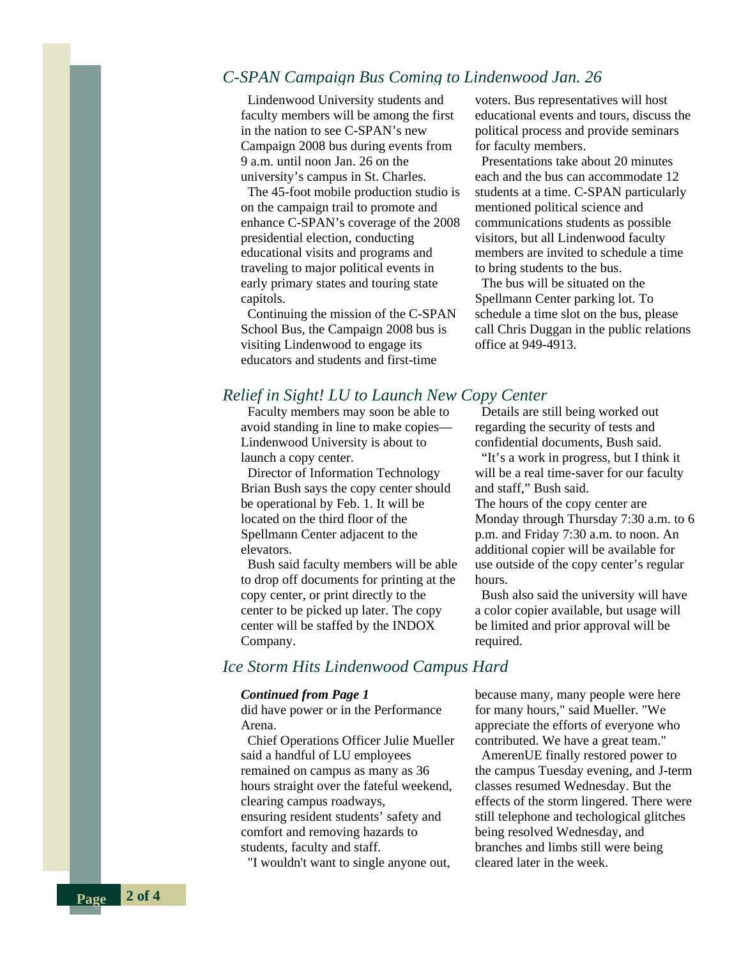## *C-SPAN Campaign Bus Coming to Lindenwood Jan. 26*

 Lindenwood University students and faculty members will be among the first in the nation to see C-SPAN's new Campaign 2008 bus during events from 9 a.m. until noon Jan. 26 on the university's campus in St. Charles.

 The 45-foot mobile production studio is on the campaign trail to promote and enhance C-SPAN's coverage of the 2008 presidential election, conducting educational visits and programs and traveling to major political events in early primary states and touring state capitols.

 Continuing the mission of the C-SPAN School Bus, the Campaign 2008 bus is visiting Lindenwood to engage its educators and students and first-time

voters. Bus representatives will host educational events and tours, discuss the political process and provide seminars for faculty members.

 Presentations take about 20 minutes each and the bus can accommodate 12 students at a time. C-SPAN particularly mentioned political science and communications students as possible visitors, but all Lindenwood faculty members are invited to schedule a time to bring students to the bus.

 The bus will be situated on the Spellmann Center parking lot. To schedule a time slot on the bus, please call Chris Duggan in the public relations office at 949-4913.

## *Relief in Sight! LU to Launch New Copy Center*

 Faculty members may soon be able to avoid standing in line to make copies— Lindenwood University is about to launch a copy center.

 Director of Information Technology Brian Bush says the copy center should be operational by Feb. 1. It will be located on the third floor of the Spellmann Center adjacent to the elevators.

 Bush said faculty members will be able to drop off documents for printing at the copy center, or print directly to the center to be picked up later. The copy center will be staffed by the INDOX Company.

### *Ice Storm Hits Lindenwood Campus Hard*

#### *Continued from Page 1*

did have power or in the Performance Arena.

 Chief Operations Officer Julie Mueller said a handful of LU employees remained on campus as many as 36 hours straight over the fateful weekend, clearing campus roadways, ensuring resident students' safety and comfort and removing hazards to students, faculty and staff.

"I wouldn't want to single anyone out,

Details are still being worked out regarding the security of tests and confidential documents, Bush said.

 "It's a work in progress, but I think it will be a real time-saver for our faculty and staff," Bush said.

The hours of the copy center are Monday through Thursday 7:30 a.m. to 6 p.m. and Friday 7:30 a.m. to noon. An additional copier will be available for use outside of the copy center's regular hours.

 Bush also said the university will have a color copier available, but usage will be limited and prior approval will be required.

because many, many people were here for many hours," said Mueller. "We appreciate the efforts of everyone who contributed. We have a great team."

 AmerenUE finally restored power to the campus Tuesday evening, and J-term classes resumed Wednesday. But the effects of the storm lingered. There were still telephone and techological glitches being resolved Wednesday, and branches and limbs still were being cleared later in the week.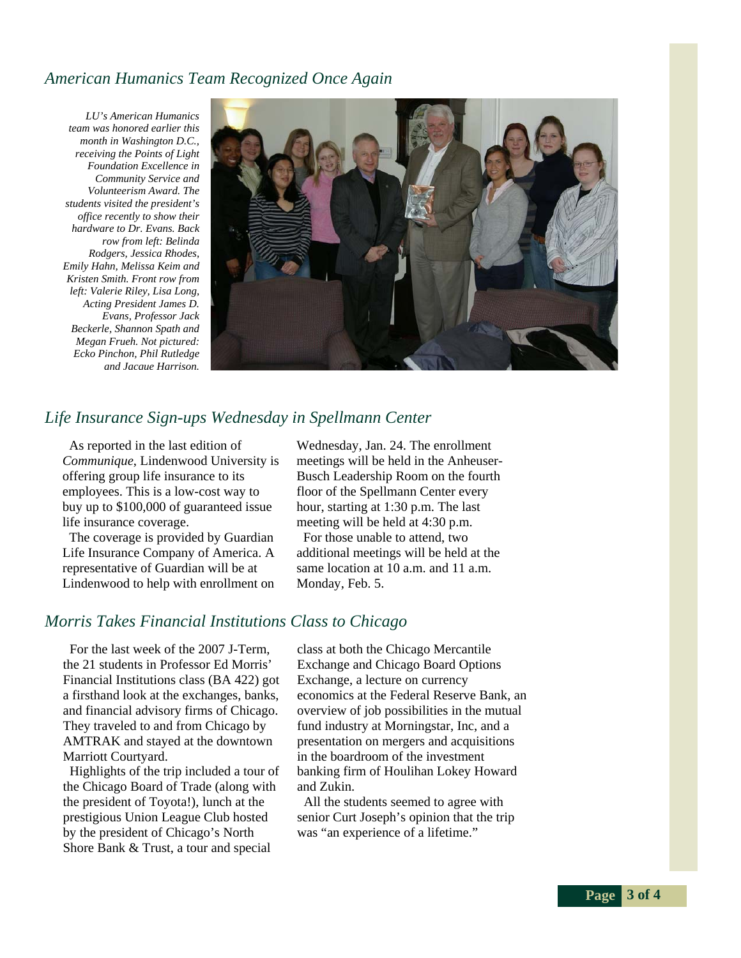## *American Humanics Team Recognized Once Again*

*LU's American Humanics team was honored earlier this month in Washington D.C., receiving the Points of Light Foundation Excellence in Community Service and Volunteerism Award. The students visited the president's office recently to show their hardware to Dr. Evans. Back row from left: Belinda Rodgers, Jessica Rhodes, Emily Hahn, Melissa Keim and Kristen Smith. Front row from left: Valerie Riley, Lisa Long, Acting President James D. Evans, Professor Jack Beckerle, Shannon Spath and Megan Frueh. Not pictured: Ecko Pinchon, Phil Rutledge and Jacque Harrison.*



## *Life Insurance Sign-ups Wednesday in Spellmann Center*

 As reported in the last edition of *Communique*, Lindenwood University is offering group life insurance to its employees. This is a low-cost way to buy up to \$100,000 of guaranteed issue life insurance coverage.

 The coverage is provided by Guardian Life Insurance Company of America. A representative of Guardian will be at Lindenwood to help with enrollment on Wednesday, Jan. 24. The enrollment meetings will be held in the Anheuser-Busch Leadership Room on the fourth floor of the Spellmann Center every hour, starting at 1:30 p.m. The last meeting will be held at 4:30 p.m.

 For those unable to attend, two additional meetings will be held at the same location at 10 a.m. and 11 a.m. Monday, Feb. 5.

## *Morris Takes Financial Institutions Class to Chicago*

 For the last week of the 2007 J-Term, the 21 students in Professor Ed Morris' Financial Institutions class (BA 422) got a firsthand look at the exchanges, banks, and financial advisory firms of Chicago. They traveled to and from Chicago by AMTRAK and stayed at the downtown Marriott Courtyard.

 Highlights of the trip included a tour of the Chicago Board of Trade (along with the president of Toyota!), lunch at the prestigious Union League Club hosted by the president of Chicago's North Shore Bank & Trust, a tour and special

class at both the Chicago Mercantile Exchange and Chicago Board Options Exchange, a lecture on currency economics at the Federal Reserve Bank, an overview of job possibilities in the mutual fund industry at Morningstar, Inc, and a presentation on mergers and acquisitions in the boardroom of the investment banking firm of Houlihan Lokey Howard and Zukin.

 All the students seemed to agree with senior Curt Joseph's opinion that the trip was "an experience of a lifetime."